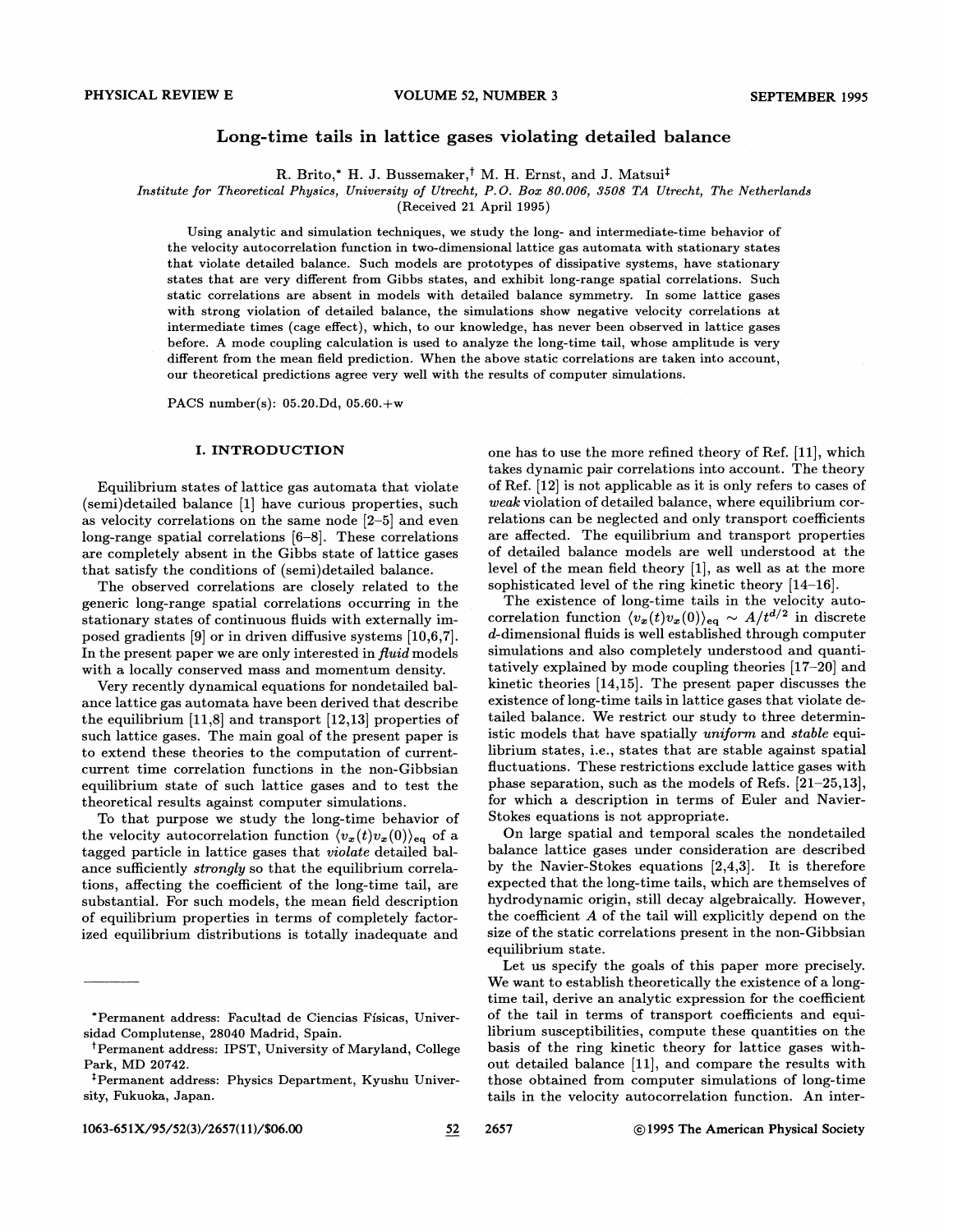# Long-time tails in lattice gases violating detailed balance

R. Brito,\* H. J. Bussemaker,<sup>†</sup> M. H. Ernst, and J. Matsui<sup>‡</sup>

Institute for Theoretical Physics, University of Utrecht, P. O. Box 80.008, 8508 TA Utrecht, The Netherlands

(Received 21 April 1995)

Using analytic and simulation techniques, we study the long- and intermediate-time behavior of the velocity autocorrelation function in two-dimensional lattice gas automata with stationary states that violate detailed balance. Such models are prototypes of dissipative systems, have stationary states that are very different from Gibbs states, and exhibit long-range spatial correlations. Such static correlations are absent in models with detailed balance symmetry. In some lattice gases with strong violation of detailed balance, the simulations show negative velocity correlations at intermediate times (cage effect), which, to our knowledge, has never been observed in lattice gases before. A mode coupling calculation is used to analyze the long-time tail, whose amplitude is very different from the mean field prediction. When the above static correlations are taken into account, our theoretical predictions agree very well with the results of computer simulations.

PACS number(s):  $05.20$ .Dd,  $05.60.+w$ 

## I. INTRODUCTION

Equilibrium states of lattice gas automata that violate (semi)detailed balance [1] have curious properties, such as velocity correlations on the same node [2—5] and even long-range spatial correlations [6—8]. These correlations are completely absent in the Gibbs state of lattice gases that satisfy the conditions of (semi)detailed balance.

The observed correlations are closely related to the generic long-range spatial correlations occurring in the stationary states of continuous fluids with externally imposed gradients [9] or in driven diffusive systems [10,6,7]. In the present paper we are only interested in fluid models with a locally conserved mass and momentum density.

Very recently dynamical equations for nondetailed balance lattice gas automata have been derived that describe the equilibrium [11,8] and transport [12,13] properties of such lattice gases. The main goal of the present paper is to extend these theories to the computation of currentcurrent time correlation functions in the non-Gibbsian equilibrium state of such lattice gases and to test the theoretical results against computer simulations.

To that purpose we study the long-time behavior of the velocity autocorrelation function  $\langle v_x(t) v_x(0) \rangle_{\text{eq}}$  of a tagged particle in lattice gases that violate detailed balance sufficiently strongly so that the equilibrium correlations, affecting the coefficient of the long-time tail, are substantial. For such models, the mean field description of equilibrium properties in terms of completely factorized equilibrium distributions is totally inadequate and

one has to use the more refined theory of Ref. [11], which takes dynamic pair correlations into account. The theory of Ref. [12] is not applicable as it is only refers to cases of weak violation of detailed balance, where equilibrium correlations can be neglected and only transport coefficients are affected. The equilibrium and transport properties of detailed balance models are well understood at the level of the mean field theory [1], as well as at the more sophisticated level of the ring kinetic theory [14—16].

The existence of long-time tails in the velocity autocorrelation function  $\langle v_x(t)v_x(0)\rangle_{\text{eq}} \sim A/t^{d/2}$  in discrete d-dimensional fIuids is well established through computer simulations and also completely understood and quantitatively explained by mode coupling theories [17—20] and kinetic theories [14,15]. The present paper discusses the existence of long-time tails in lattice gases that violate detailed balance. We restrict our study to three deterministic models that have spatially uniform and stable equilibrium states, i.e., states that are stable against spatial fluctuations. These restrictions exclude lattice gases with phase separation, such as the models of Refs. [21—25, 13], for which a description in terms of Euler and Navier-Stokes equations is not appropriate.

On large spatial and temporal scales the nondetailed balance lattice gases under consideration are described by the Navier-Stokes equations [2,4,3]. It is therefore expected that the long-time tails, which are themselves of hydrodynamic origin, still decay algebraically. However, the coefficient  $A$  of the tail will explicitly depend on the size of the static correlations present in the non-Gibbsian equilibrium state.

Let us specify the goals of this paper more precisely. We want to establish theoretically the existence of a longtime tail, derive an analytic expression for the coefficient of the tail in terms of transport coefficients and equilibrium susceptibilities, compute these quantities on the basis of the ring kinetic theory for lattice gases without detailed balance [11], and compare the results with those obtained from computer simulations of long-time tails in the velocity autocorrelation function. An inter-

<sup>\*</sup>Permanent address: Facultad de Ciencias Fisicas, Universidad Complutense, 28040 Madrid, Spain.

<sup>&</sup>lt;sup>†</sup>Permanent address: IPST, University of Maryland, College Park, MD 20742.

<sup>~</sup>Permanent address: Physics Department, Kyushu University, Fukuoka, Japan.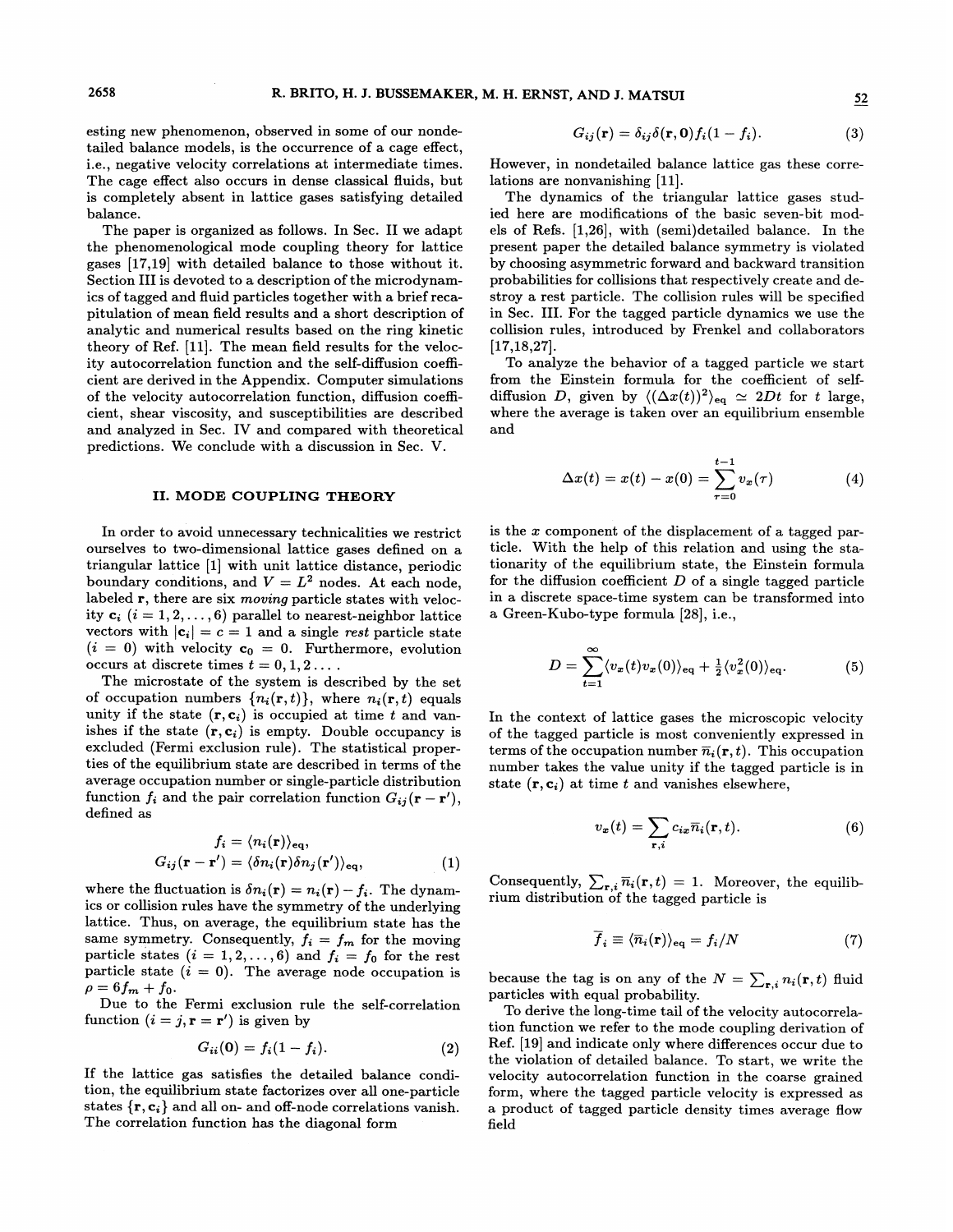esting new phenomenon, observed in some of our nondetailed balance models, is the occurrence of a cage effect, i.e., negative velocity correlations at intermediate times. The cage effect also occurs in dense classical fluids, but is completely absent in lattice gases satisfying detailed balance.

The paper is organized as follows. In Sec. II we adapt the phenomenological mode coupling theory for lattice gases [17,19] with detailed balance to those without it. Section III is devoted to a description of the microdynamics of tagged and fluid particles together with a brief recapitulation of mean field results and a short description of analytic and numerical results based on the ring kinetic theory of Ref. [11]. The mean field results for the velocity autocorrelation function and the self-diffusion coefficient are derived in the Appendix. Computer simulations of the velocity autocorrelation function, diffusion coefBcient, shear viscosity, and susceptibilities are described and analyzed in Sec. IV and compared with theoretical predictions. We conclude with a discussion in Sec. V.

## II. MODE COUPLING THEORY

In order to avoid unnecessary technicalities we restrict ourselves to two-dimensional lattice gases defined on a triangular lattice [1] with unit lattice distance, periodic boundary conditions, and  $V = L^2$  nodes. At each node, labeled r, there are six moving particle states with velocity  $c_i$   $(i = 1, 2, \ldots, 6)$  parallel to nearest-neighbor lattice vectors with  $|c_i| = c = 1$  and a single rest particle state  $(i = 0)$  with velocity  $c_0 = 0$ . Furthermore, evolution occurs at discrete times  $t = 0, 1, 2...$ .

The microstate of the system is described by the set of occupation numbers  $\{n_i(\mathbf{r}, t)\}\$ , where  $n_i(\mathbf{r}, t)$  equals unity if the state  $(r, c_i)$  is occupied at time t and vanishes if the state  $(r, c_i)$  is empty. Double occupancy is excluded (Fermi exclusion rule). The statistical properties of the equilibrium state are described in terms of the average occupation number or single-particle distribution function  $f_i$  and the pair correlation function  $G_{ij}(\mathbf{r} - \mathbf{r}'),$ defined as

$$
f_i = \langle n_i(\mathbf{r}) \rangle_{\text{eq}},
$$
  

$$
G_{ij}(\mathbf{r} - \mathbf{r}') = \langle \delta n_i(\mathbf{r}) \delta n_j(\mathbf{r}') \rangle_{\text{eq}},
$$
 (1)

where the fluctuation is  $\delta n_i(\mathbf{r}) = n_i(\mathbf{r}) - f_i$ . The dynamics or collision rules have the symmetry of the underlying lattice. Thus, on average, the equilibrium state has the same symmetry. Consequently,  $f_i = f_m$  for the moving particle states  $(i = 1, 2, ..., 6)$  and  $f_i = f_0$  for the rest particle state  $(i = 0)$ . The average node occupation is  $\rho = 6f_m + f_0.$ 

Due to the Fermi exclusion rule the self-correlation function  $(i = j, \mathbf{r} = \mathbf{r}')$  is given by

$$
G_{ii}(0) = f_i(1 - f_i). \tag{2}
$$

If the lattice gas satisfies the detailed balance condition, the equilibrium state factorizes over all one-particle states  $\{r, c_i\}$  and all on- and off-node correlations vanish. The correlation function has the diagonal form

$$
G_{ij}(\mathbf{r}) = \delta_{ij}\delta(\mathbf{r}, \mathbf{0})f_i(1 - f_i). \tag{3}
$$

However, in nondetailed balance lattice gas these correlations are nonvanishing [11].

The dynamics of the triangular lattice gases studied here are modifications of the basic seven-bit models of Refs. [1,26], with (semi)detailed balance. In the present paper the detailed balance symmetry is violated by choosing asymmetric forward and backward transition probabilities for collisions that respectively create and destroy a rest particle. The collision rules will be specified in Sec. III. For the tagged particle dynamics we use the collision rules, introduced by Frenkel and collaborators [17,18,27].

To analyze the behavior of a tagged particle we start from the Einstein formula for the coefficient of selfdiffusion D, given by  $\langle (\Delta x(t))^2 \rangle_{\text{eq}} \simeq 2Dt$  for t large, where the average is taken over an equilibrium ensemble and

$$
\Delta x(t) = x(t) - x(0) = \sum_{\tau=0}^{t-1} v_x(\tau) \tag{4}
$$

is the  $x$  component of the displacement of a tagged particle. With the help of this relation and using the stationarity of the equilibrium state, the Einstein formula for the diffusion coefficient  $D$  of a single tagged particle in a discrete space-time system can be transformed into a Green-Kubo-type formula [28], i.e.,

$$
D = \sum_{t=1}^{\infty} \langle v_x(t)v_x(0) \rangle_{\text{eq}} + \frac{1}{2} \langle v_x^2(0) \rangle_{\text{eq}}.
$$
 (5)

In the context of lattice gases the microscopic velocity of the tagged particle is most conveniently expressed in terms of the occupation number  $\overline{n}_i(\mathbf{r}, t)$ . This occupation number takes the value unity if the tagged particle is in state  $(r, c_i)$  at time t and vanishes elsewhere,

$$
v_x(t) = \sum_{\mathbf{r},i} c_{ix} \overline{n}_i(\mathbf{r},t).
$$
 (6)

Consequently,  $\sum_{\mathbf{r}, i} \overline{n}_i(\mathbf{r}, t) = 1$ . Moreover, the equilibrium distribution of the tagged particle is

$$
\overline{f}_i \equiv \langle \overline{n}_i(\mathbf{r}) \rangle_{\text{eq}} = f_i/N \tag{7}
$$

because the tag is on any of the  $N = \sum_{\mathbf{r}, i} n_i(\mathbf{r}, t)$  fluid particles with equal probability.

To derive the long-time tail of the velocity autocorrelation function we refer to the mode coupling derivation of Ref. [19] and indicate only where differences occur due to the violation of detailed balance. To start, we write the velocity autocorrelation function in the coarse grained form, where the tagged particle velocity is expressed as a product of tagged particle density times average flow Geld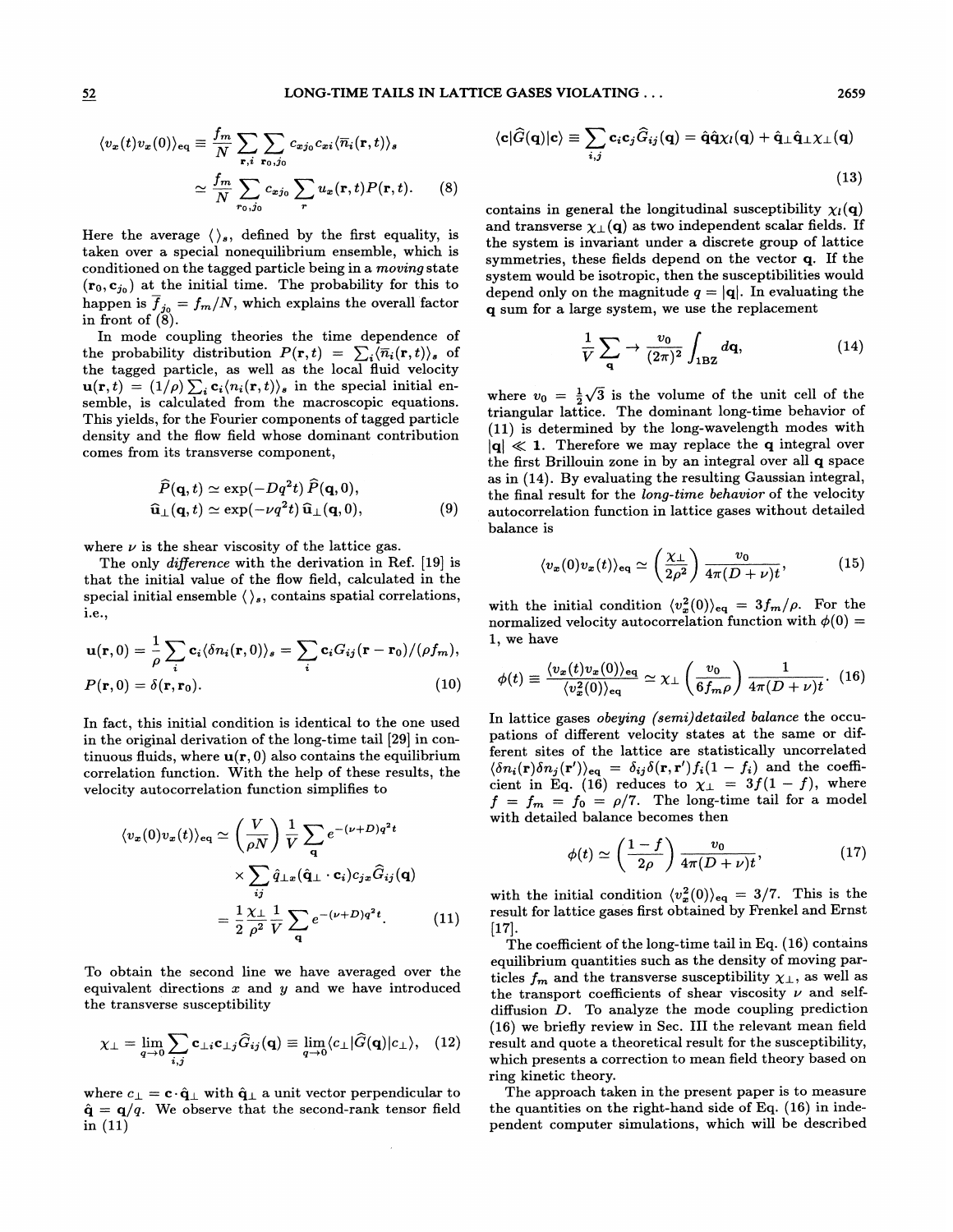$$
\langle v_x(t)v_x(0)\rangle_{\text{eq}} \equiv \frac{f_m}{N} \sum_{\mathbf{r},i} \sum_{\mathbf{r}_0,j_0} c_{xj_0} c_{xi} \langle \overline{n}_i(\mathbf{r},t)\rangle_s
$$

$$
\simeq \frac{f_m}{N} \sum_{r_0,j_0} c_{xj_0} \sum_{r} u_x(\mathbf{r},t) P(\mathbf{r},t). \tag{8}
$$

Here the average  $\langle \rangle_s$ , defined by the first equality, is taken over a special nonequilibrium ensemble, which is conditioned on the tagged particle being in a moving state  $(r_0, c_{j_0})$  at the initial time. The probability for this to happen is  $\overline{f}_{j_0} = f_m/N$ , which explains the overall factor in front of  $(8)$ .

In mode coupling theories the time dependence of the probability distribution  $P(\mathbf{r}, t) = \sum_i \langle \overline{n}_i(\mathbf{r}, t) \rangle_s$  of the tagged particle, as well as the local fluid velocity  $\mathbf{u}(\mathbf{r}, t) = (1/\rho) \sum_i \mathbf{c}_i \langle n_i(\mathbf{r}, t) \rangle_s$  in the special initial ensemble, is calculated from the macroscopic equations. This yields, for the Fourier components of tagged particle density and the flow field whose dominant contribution comes from its transverse component,

$$
\widehat{P}(\mathbf{q},t) \simeq \exp(-Dq^2t)\,\widehat{P}(\mathbf{q},0),\n\widehat{\mathbf{u}}_{\perp}(\mathbf{q},t) \simeq \exp(-\nu q^2t)\,\widehat{\mathbf{u}}_{\perp}(\mathbf{q},0),
$$
\n(9)

where  $\nu$  is the shear viscosity of the lattice gas.

The only difference with the derivation in Ref. [19] is that the initial value of the flow field, calculated in the special initial ensemble  $\langle \ \rangle_s$ , contains spatial correlations, i.e.,

$$
\mathbf{u}(\mathbf{r},0) = \frac{1}{\rho} \sum_{i} \mathbf{c}_{i} \langle \delta n_{i}(\mathbf{r},0) \rangle_{s} = \sum_{i} \mathbf{c}_{i} G_{ij}(\mathbf{r}-\mathbf{r}_{0})/(\rho f_{m}),
$$
  
\n
$$
P(\mathbf{r},0) = \delta(\mathbf{r},\mathbf{r}_{0}).
$$
\n(10)

In fact, this initial condition is identical to the one used in the original derivation of the long-time tail [29] in continuous fluids, where  $\mathbf{u}(\mathbf{r},0)$  also contains the equilibrium correlation function. With the help of these results, the velocity autocorrelation function simplifies to

$$
\langle v_x(0)v_x(t) \rangle_{\text{eq}} \simeq \left(\frac{V}{\rho N}\right) \frac{1}{V} \sum_{\mathbf{q}} e^{-(\nu + D)q^2 t} \times \sum_{ij} \hat{q}_{\perp x}(\hat{\mathbf{q}}_{\perp} \cdot \mathbf{c}_i) c_{jx} \hat{G}_{ij}(\mathbf{q})
$$

$$
= \frac{1}{2} \frac{\chi_{\perp}}{\rho^2} \frac{1}{V} \sum_{\mathbf{q}} e^{-(\nu + D)q^2 t} . \tag{11}
$$

To obtain the second line we have averaged over the equivalent directions  $x$  and  $y$  and we have introduced the transverse susceptibility

$$
\chi_{\perp} = \lim_{\mathbf{q} \to 0} \sum_{i,j} \mathbf{c}_{\perp i} \mathbf{c}_{\perp j} \widehat{G}_{ij}(\mathbf{q}) \equiv \lim_{\mathbf{q} \to 0} \langle c_{\perp} | \widehat{G}(\mathbf{q}) | c_{\perp} \rangle, \quad (12)
$$

where  $c_{\perp} = \mathbf{c} \cdot \hat{\mathbf{q}}_{\perp}$  with  $\hat{\mathbf{q}}_{\perp}$  a unit vector perpendicular to  $\hat{\mathbf{q}} = \mathbf{q}/q$ . We observe that the second-rank tensor field in  $(11)$ 

 $\cdot$ 

$$
|\mathbf{c}| \widehat{G}(\mathbf{q}) |\mathbf{c}\rangle \equiv \sum_{i,j} \mathbf{c}_i \mathbf{c}_j \widehat{G}_{ij}(\mathbf{q}) = \hat{\mathbf{q}} \hat{\mathbf{q}} \chi_l(\mathbf{q}) + \hat{\mathbf{q}} \perp \hat{\mathbf{q}} \perp \chi \perp(\mathbf{q})
$$
\n(13)

contains in general the longitudinal susceptibility  $\chi_l(q)$ and transverse  $\chi_{\perp}(\mathbf{q})$  as two independent scalar fields. If the system is invariant under a discrete group of lattice symmetries, these fields depend on the vector q. If the system would be isotropic, then the susceptibilities would depend only on the magnitude  $q = |q|$ . In evaluating the q sum for a large system, we use the replacement

$$
\frac{1}{V} \sum_{\mathbf{q}} \rightarrow \frac{v_0}{(2\pi)^2} \int_{1\mathrm{BZ}} d\mathbf{q},\tag{14}
$$

where  $v_0 = \frac{1}{2}\sqrt{3}$  is the volume of the unit cell of the triangular lattice. The dominant long-time behavior of (ll) is determined by the long-wavelength modes with  $|{\bf q}|\ll 1$ . Therefore we may replace the q integral over the first Brillouin zone in by an integral over all q space as in (14). By evaluating the resulting Gaussian integral, the final result for the long-time behavior of the velocity autocorrelation function in lattice gases without detailed balance is

$$
\langle v_x(0)v_x(t)\rangle_{\text{eq}} \simeq \left(\frac{\chi_{\perp}}{2\rho^2}\right) \frac{v_0}{4\pi (D+\nu)t},\tag{15}
$$

with the initial condition  $\langle v_x^2(0)\rangle_{\text{eq}} = 3f_m/\rho$ . For the normalized velocity autocorrelation function with  $\phi(0)$  = 1, we have

$$
\phi(t) \equiv \frac{\langle v_x(t) v_x(0) \rangle_{\text{eq}}}{\langle v_x^2(0) \rangle_{\text{eq}}} \simeq \chi_{\perp} \left( \frac{v_0}{6f_m \rho} \right) \frac{1}{4\pi (D + \nu)t}.
$$
 (16)

In lattice gases obeying (semi)detailed balance the occupations of difFerent velocity states at the same or different sites of the lattice are statistically uncorrelated  $\langle \delta n_i(\mathbf{r}) \delta n_j(\mathbf{r'}) \rangle_{\text{eq}} = \delta_{ij} \delta(\mathbf{r}, \mathbf{r'}) f_i(1 - f_i)$  and the coefficient in Eq. (16) reduces to  $\chi_{\perp} = 3f(1-f)$ , where  $f = f_m = f_0 = \rho/7$ . The long-time tail for a model with detailed balance becomes then

$$
\phi(t) \simeq \left(\frac{1-f}{2\rho}\right) \frac{v_0}{4\pi (D+\nu)t},\tag{17}
$$

with the initial condition  $\langle v_x^2(0) \rangle_{\text{eq}} = 3/7$ . This is the result for lattice gases first obtained by Frenkel and Ernst [17].

The coefficient of the long-time tail in Eq. (16) contains equilibrium quantities such as the density of moving particles  $f_m$  and the transverse susceptibility  $\chi_{\perp}$ , as well as the transport coefficients of shear viscosity  $\nu$  and selfdiffusion D. To analyze the mode coupling prediction (16) we briefly review in Sec. III the relevant mean field result and quote a theoretical result for the susceptibility, which presents a correction to mean field theory based on ring kinetic theory.

The approach taken in the present paper is to measure the quantities on the right-hand side of Eq. (16) in independent computer simulations, which will be described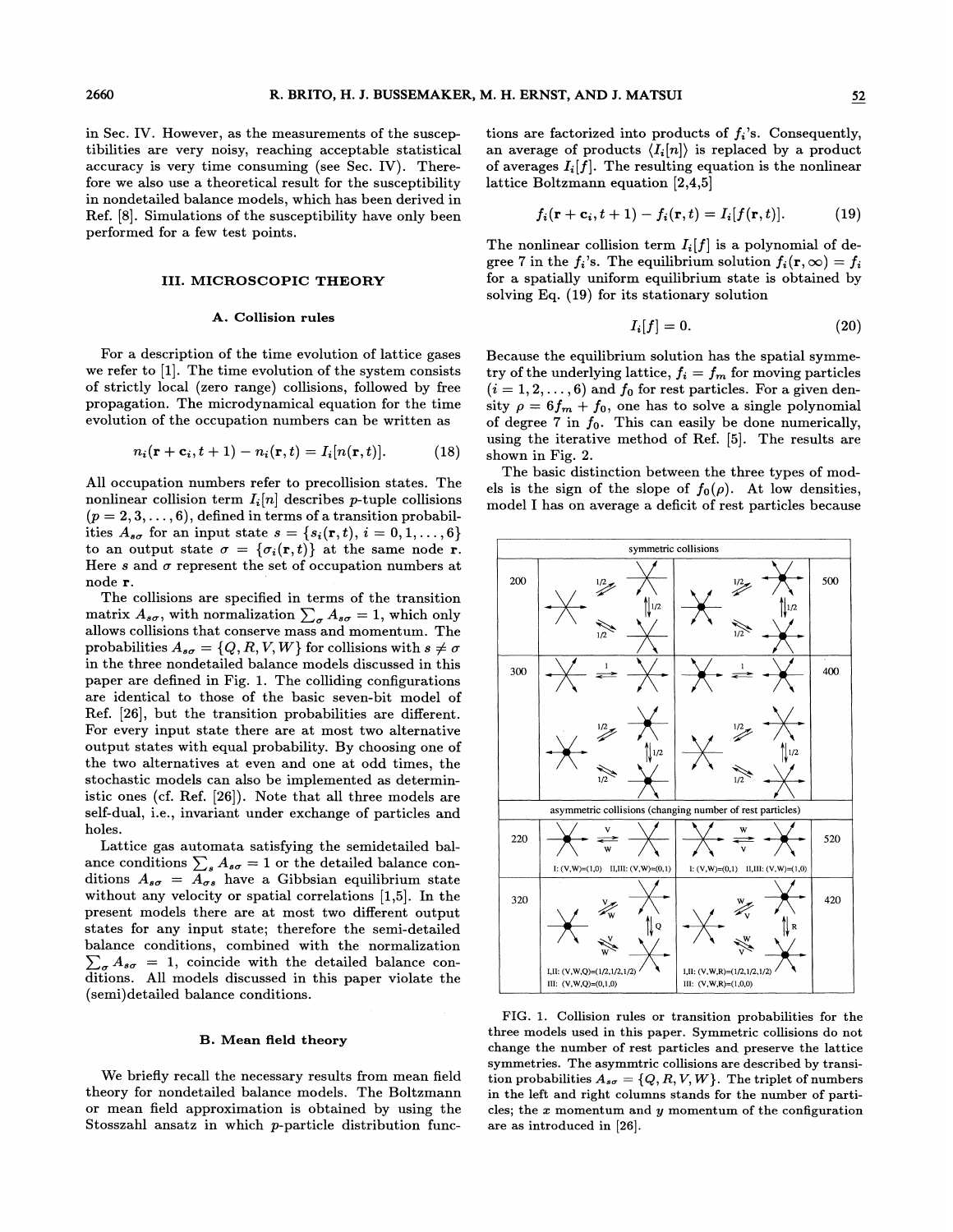in Sec. IV. However, as the measurements of the susceptibilities are very noisy, reaching acceptable statistical accuracy is very time consuming (see Sec. IV). Therefore we also use a theoretical result for the susceptibility in nondetailed balance models, which has been derived in Ref. [8]. Simulations of the susceptibility have only been performed for a few test points.

## III. MICROSCOPIC THEORY

For a description of the time evolution of lattice gases we refer to  $[1]$ . The time evolution of the system consists of strictly local (zero range) collisions, followed by free propagation. The microdynamical equation for the time evolution of the occupation numbers can be written as

$$
n_i(\mathbf{r} + \mathbf{c}_i, t+1) - n_i(\mathbf{r}, t) = I_i[n(\mathbf{r}, t)].
$$
 (18)

All occupation numbers refer to precollision states. The nonlinear collision term  $I_i[n]$  describes *p*-tuple collisions  $(p = 2, 3, \ldots, 6)$ , defined in terms of a transition probabilities  $A_{s\sigma}$  for an input state  $s = \{s_i(\mathbf{r}, t), i = 0, 1, \ldots, 6\}$ to an output state  $\sigma = {\sigma_i(\mathbf{r},t)}$  at the same node r. Here s and  $\sigma$  represent the set of occupation numbers at node r.

The collisions are specified in terms of the transition matrix  $A_{s\sigma}$ , with normalization  $\sum_{\sigma} A_{s\sigma} = 1$ , which only allows collisions that conserve mass and momentum. The probabilities  $A_{s\sigma} = \{Q, R, V, W\}$  for collisions with  $s \neq \sigma$ in the three nondetailed balance models discussed in this paper are defined in Fig. 1. The colliding configurations are identical to those of the basic seven-bit model of Ref. [26], but the transition probabilities are different. For every input state there are at most two alternative output states with equal probability. By choosing one of the two alternatives at even and one at odd times, the stochastic models can also be implemented as deterministic ones (cf. Ref. [26]). Note that all three models are self-dual, i.e., invariant under exchange of particles and holes.

Lattice gas automata satisfying the semidetailed balance conditions  $\sum_{s} A_{s\sigma} = 1$  or the detailed balance conditions  $A_{s\sigma} = A_{\sigma s}$  have a Gibbsian equilibrium state without any velocity or spatial correlations [1,5]. In the present models there are at most two different output states for any input state; therefore the semi-detailed balance conditions, combined with the normalization  $\sum_{\sigma} A_{s\sigma} = 1$ , coincide with the detailed balance conditions. All models discussed in this paper violate the (semi) detailed balance conditions.

## B. Mean field theory

We briefly recall the necessary results from mean field theory for nondetailed balance models. The Boltzmann or mean field approximation is obtained by using the Stosszahl ansatz in which p-particle distribution functions are factorized into products of  $f_i$ 's. Consequently, an average of products  $\langle I_i[n] \rangle$  is replaced by a product of averages  $I_i[f]$ . The resulting equation is the nonlinear lattice Boltzmann equation [2,4,5]

$$
f_i(\mathbf{r} + \mathbf{c}_i, t+1) - f_i(\mathbf{r}, t) = I_i[f(\mathbf{r}, t)].
$$
 (19)

The nonlinear collision term  $I_i[f]$  is a polynomial of degree 7 in the  $f_i$ 's. The equilibrium solution  $f_i(\mathbf{r}, \infty) = f_i$ for a spatially uniform equilibrium state is obtained by solving Eq. (19) for its stationary solution

**A.** Collision rules 
$$
I_i[f] = 0.
$$
 (20)

Because the equilibrium solution has the spatial symmetry of the underlying lattice,  $f_i = f_m$  for moving particles  $(i = 1, 2, \ldots, 6)$  and  $f_0$  for rest particles. For a given density  $\rho = 6f_m + f_0$ , one has to solve a single polynomial of degree 7 in  $f_0$ . This can easily be done numerically, using the iterative method of Ref. [5]. The results are shown in Fig. 2.

The basic distinction between the three types of models is the sign of the slope of  $f_0(\rho)$ . At low densities, model I has on average a deficit of rest particles because



FIG. 1. Collision rules or transition probabilities for the three models used in this paper. Symmetric collisions do not change the number of rest particles and preserve the lattice symmetries. The asymmtric collisions are described by transition probabilities  $A_{s\sigma} = \{Q, R, V, W\}$ . The triplet of numbers in the left and right columns stands for the number of particles; the  $x$  momentum and  $y$  momentum of the configuration are as introduced in [26].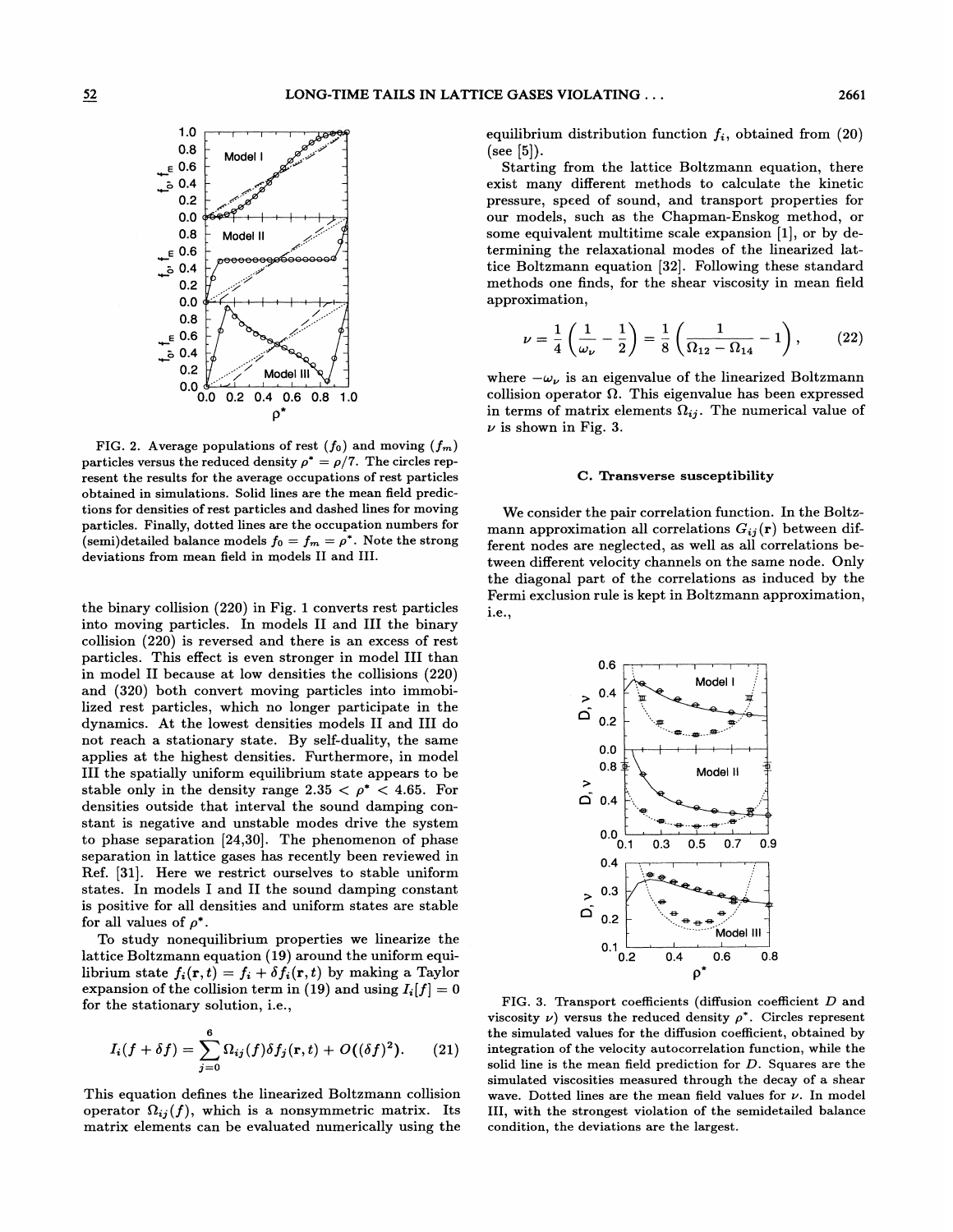

FIG. 2. Average populations of rest  $(f_0)$  and moving  $(f_m)$ particles versus the reduced density  $\rho^* = \rho/7$ . The circles represent the results for the average occupations of rest particles obtained in simulations. Solid lines are the mean field predictions for densities of rest particles and dashed lines for moving particles. Finally, dotted lines are the occupation numbers for (semi)detailed balance models  $f_0 = f_m = \rho^*$ . Note the strong deviations from mean field in models II and III.

the binary collision (220) in Fig. 1 converts rest particles into moving particles. In models II and III the binary collision (220) is reversed and there is an excess of rest particles. This effect is even stronger in model III than in model II because at low densities the collisions (220) and (320) both convert moving particles into immobilized rest particles, which no longer participate in the dynamics. At the lowest densities models II and III do not reach a stationary state. By self-duality, the same applies at the highest densities. Furthermore, in model III the spatially uniform equilibrium state appears to be stable only in the density range 2.35  $\lt \rho^*$   $\lt$  4.65. For densities outside that interval the sound damping constant is negative and unstable modes drive the system to phase separation [24,30]. The phenomenon of phase separation in lattice gases has recently been reviewed in Ref. [31]. Here we restrict ourselves to stable uniform states. In models I and II the sound damping constant is positive for all densities and uniform states are stable for all values of  $\rho^*$ .

To study nonequilibrium properties we linearize the  $\rm{lattice~Boltzmann~equation}$   $\rm{(19)}$  around the uniform equilibrium state  $f_i(\mathbf{r}, t) = f_i + \delta f_i(\mathbf{r}, t)$  by making a Taylor expansion of the collision term in (19) and using  $I_i[f] = 0$ for the stationary solution, i.e.,

$$
I_i(f+\delta f)=\sum_{j=0}^6\Omega_{ij}(f)\delta f_j(\mathbf{r},t)+O((\delta f)^2). \qquad (21)
$$

This equation defines the linearized Boltzmann collision operator  $\Omega_{ij}(f)$ , which is a nonsymmetric matrix. Its matrix elements can be evaluated numerically using the

equilibrium distribution function  $f_i$ , obtained from  $(20)$  $(see [5]).$ 

Starting from the lattice Boltzmann equation, there exist many diferent methods to calculate the kinetic pressure, speed of sound, and transport properties for our models, such as the Chapman-Enskog method, or some equivalent multitime scale expansion [1], or by determining the relaxational modes of the linearized lattice Boltzmann equation [32]. Following these standard methods one finds, for the shear viscosity in mean field approximation,

$$
\nu = \frac{1}{4} \left( \frac{1}{\omega_{\nu}} - \frac{1}{2} \right) = \frac{1}{8} \left( \frac{1}{\Omega_{12} - \Omega_{14}} - 1 \right), \quad (22)
$$

where  $-\omega_{\nu}$  is an eigenvalue of the linearized Boltzmann collision operator  $\Omega$ . This eigenvalue has been expressed in terms of matrix elements  $\Omega_{ij}$ . The numerical value of  $\nu$  is shown in Fig. 3.

#### C. Transverse susceptibility

We consider the pair correlation function. In the Boltzmann approximation all correlations  $G_{ij}(\mathbf{r})$  between different nodes are neglected, as well as all correlations between diferent velocity channels on the same node. Only the diagonal part of the correlations as induced by the Fermi exclusion rule is kept in Boltzmann approximation, i.e.,



FIG. 3. Transport coefficients (diffusion coefficient D and viscosity  $\nu$ ) versus the reduced density  $\rho^*$ . Circles represent the simulated values for the diffusion coefficient, obtained by integration of the velocity autocorrelation function, while the solid line is the mean field prediction for D. Squares are the simulated viscosities measured through the decay of a shear wave. Dotted lines are the mean field values for  $\nu$ . In model III, with the strongest violation of the semidetailed balance condition, the deviations are the largest.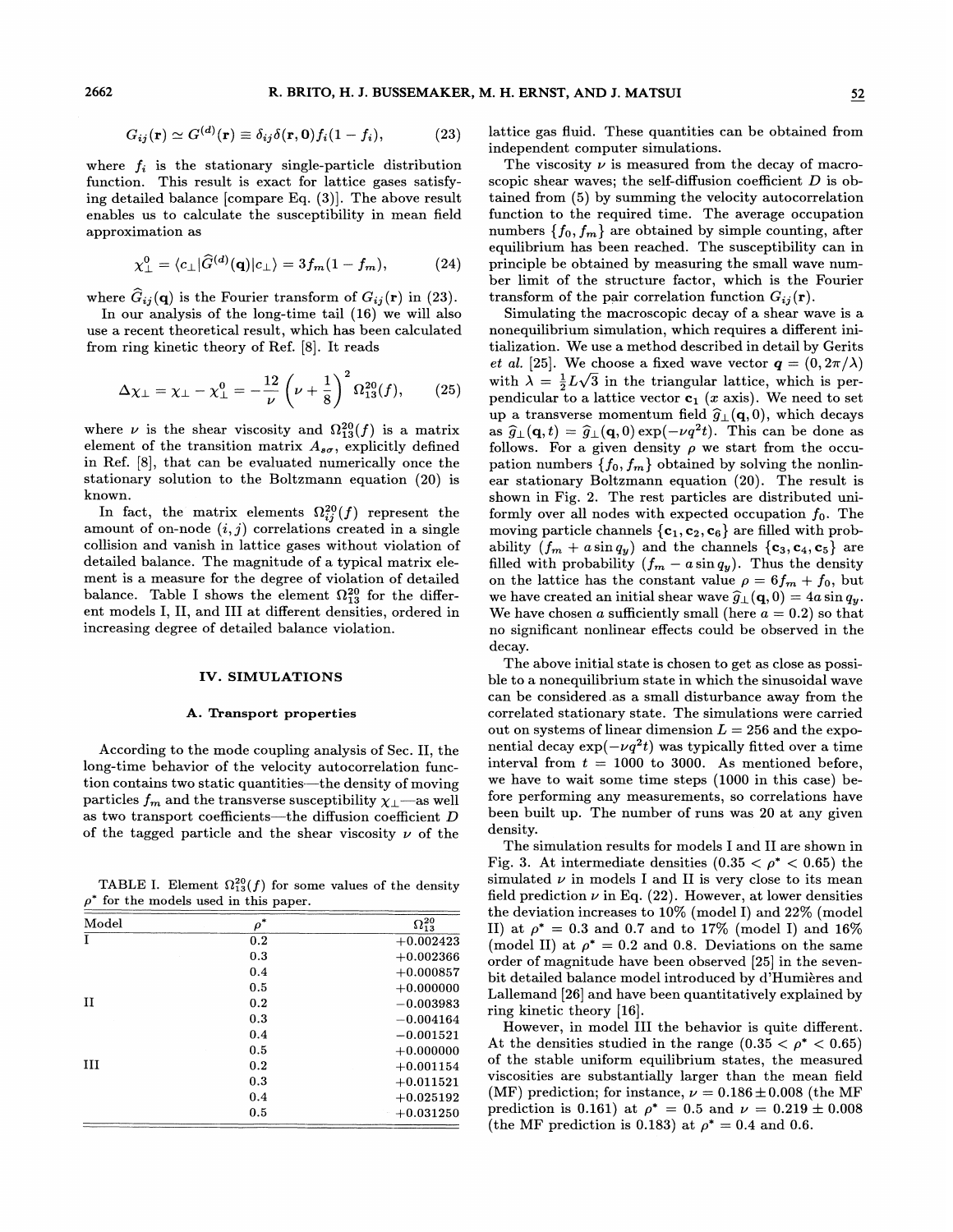$$
G_{ij}(\mathbf{r}) \simeq G^{(d)}(\mathbf{r}) \equiv \delta_{ij}\delta(\mathbf{r},\mathbf{0})f_i(1-f_i), \qquad (23)
$$

where  $f_i$  is the stationary single-particle distribution function. This result is exact for lattice gases satisfying detailed balance [compare Eq. (3)]. The above result enables us to calculate the susceptibility in mean field approximation as

$$
\chi_{\perp}^{0} = \langle c_{\perp} | \widehat{G}^{(d)}(\mathbf{q}) | c_{\perp} \rangle = 3 f_{m} (1 - f_{m}), \qquad (24)
$$

where  $G_{ij}(\mathbf{q})$  is the Fourier transform of  $G_{ij}(\mathbf{r})$  in (23).

In our analysis of the long-time tail (16) we will also use a recent theoretical result, which has been calculated from ring kinetic theory of Ref. [8]. It reads

$$
\Delta \chi_{\perp} = \chi_{\perp} - \chi_{\perp}^0 = -\frac{12}{\nu} \left( \nu + \frac{1}{8} \right)^2 \Omega_{13}^{20}(f), \qquad (25)
$$

where  $\nu$  is the shear viscosity and  $\Omega_{13}^{20}(f)$  is a matrix element of the transition matrix  $A_{s\sigma}$ , explicitly defined in Ref. [8], that can be evaluated numerically once the stationary solution to the Boltzmann equation (20) is known.

In fact, the matrix elements  $\Omega_{ij}^{20}(f)$  represent the amount of on-node  $(i, j)$  correlations created in a single collision and vanish in lattice gases without violation of detailed balance. The magnitude of a typical matrix element is a measure for the degree of violation of detailed balance. Table I shows the element  $\Omega_{13}^{20}$  for the different models I, II, and III at different densities, ordered in increasing degree of detailed balance violation.

## IV. SIMULATIONS

### A. Transport properties

According to the mode coupling analysis of Sec. II, the long-time behavior of the velocity autocorrelation function contains two static quantities —the density of moving particles  $f_m$  and the transverse susceptibility  $\chi_{\perp}$ —as well as two transport coefficients—the diffusion coefficient  $D$ of the tagged particle and the shear viscosity  $\nu$  of the

TABLE I. Element  $\Omega_{13}^{20}(f)$  for some values of the density  $\rho^*$  for the models used in this paper.

| Model | $\rho^*$ | $\Omega^{20}_{13}$ |
|-------|----------|--------------------|
| Ι     | 0.2      | $+0.002423$        |
|       | 0.3      | $+0.002366$        |
|       | 0.4      | $+0.000857$        |
|       | 0.5      | $+0.000000$        |
| П     | 0.2      | $-0.003983$        |
|       | 0.3      | $-0.004164$        |
|       | 0.4      | $-0.001521$        |
|       | 0.5      | $+0.000000$        |
| ш     | 0.2      | $+0.001154$        |
|       | 0.3      | $+0.011521$        |
|       | 0.4      | $+0.025192$        |
|       | 0.5      | $+0.031250$        |
|       |          |                    |

lattice gas fluid. These quantities can be obtained from independent computer simulations.

The viscosity  $\nu$  is measured from the decay of macroscopic shear waves; the self-diffusion coefficient  $D$  is obtained from (5) by summing the velocity autocorrelation function to the required time. The average occupation numbers  $\{f_0, f_m\}$  are obtained by simple counting, after equilibrium has been reached. The susceptibility can in principle be obtained by measuring the small wave number limit of the structure factor, which is the Fourier transform of the pair correlation function  $G_{ij}(\mathbf{r})$ .

Simulating the macroscopic decay of a shear wave is a nonequilibrium simulation, which requires a different initialization. We use a method described in detail by Gerits *et al.* [25]. We choose a fixed wave vector  $q = (0, 2\pi/\lambda)$ with  $\lambda = \frac{1}{2}L\sqrt{3}$  in the triangular lattice, which is perpendicular to a lattice vector  $c_1$  (x axis). We need to set up a transverse momentum field  $\hat{g}_{\perp}(\mathbf{q}, 0)$ , which decays as  $\hat{g}_{\perp}(\mathbf{q}, t) = \hat{g}_{\perp}(\mathbf{q}, 0) \exp(-\nu q^2 t)$ . This can be done as follows. For a given density  $\rho$  we start from the occupation numbers  $\{f_0, f_m\}$  obtained by solving the nonlinear stationary Boltzmann equation (20). The result is shown in Fig. 2. The rest particles are distributed uniformly over all nodes with expected occupation  $f_0$ . The moving particle channels  ${c_1, c_2, c_6}$  are filled with probability  $(f_m + a \sin q_y)$  and the channels  $\{c_3, c_4, c_5\}$  are filled with probability  $(f_m - a \sin q_y)$ . Thus the density on the lattice has the constant value  $\rho = 6f_m + f_0$ , but we have created an initial shear wave  $\widehat{g}_{\perp}(\mathbf{q},0) = 4a \sin q_y$ . We have chosen a sufficiently small (here  $a = 0.2$ ) so that no significant nonlinear effects could be observed in the decay.

The above initial state is chosen to get as close as possible to a nonequilibrium state in which the sinusoidal wave can be considered. as a small disturbance away from the correlated stationary state. The simulations were carried out on systems of linear dimension  $L = 256$  and the exponential decay  $\exp(-\nu q^2 t)$  was typically fitted over a time interval from  $t = 1000$  to 3000. As mentioned before, we have to wait some time steps (1000 in this case) before performing any measurements, so correlations have been built up. The number of runs was 20 at any given density.

The simulation results for models I and II are shown in Fig. 3. At intermediate densities  $(0.35 < \rho^* < 0.65)$  the simulated  $\nu$  in models I and II is very close to its mean field prediction  $\nu$  in Eq. (22). However, at lower densities the deviation increases to  $10\%$  (model I) and  $22\%$  (model II) at  $\rho^* = 0.3$  and 0.7 and to 17% (model I) and 16% (model II) at  $\rho^* = 0.2$  and 0.8. Deviations on the same order of magnitude have been observed [25] in the sevenbit detailed balance model introduced by d'Humieres and Lallemand [26] and have been quantitatively explained by ring kinetic theory [16).

However, in model III the behavior is quite different. At the densities studied in the range  $(0.35 < \rho^* < 0.65)$ of the stable uniform equilibrium states, the measured viscosities are substantially larger than the mean field (MF) prediction; for instance,  $\nu = 0.186 \pm 0.008$  (the MF) prediction is 0.161) at  $\rho^* = 0.5$  and  $\nu = 0.219 \pm 0.008$ (the MF prediction is 0.183) at  $\rho^* = 0.4$  and 0.6.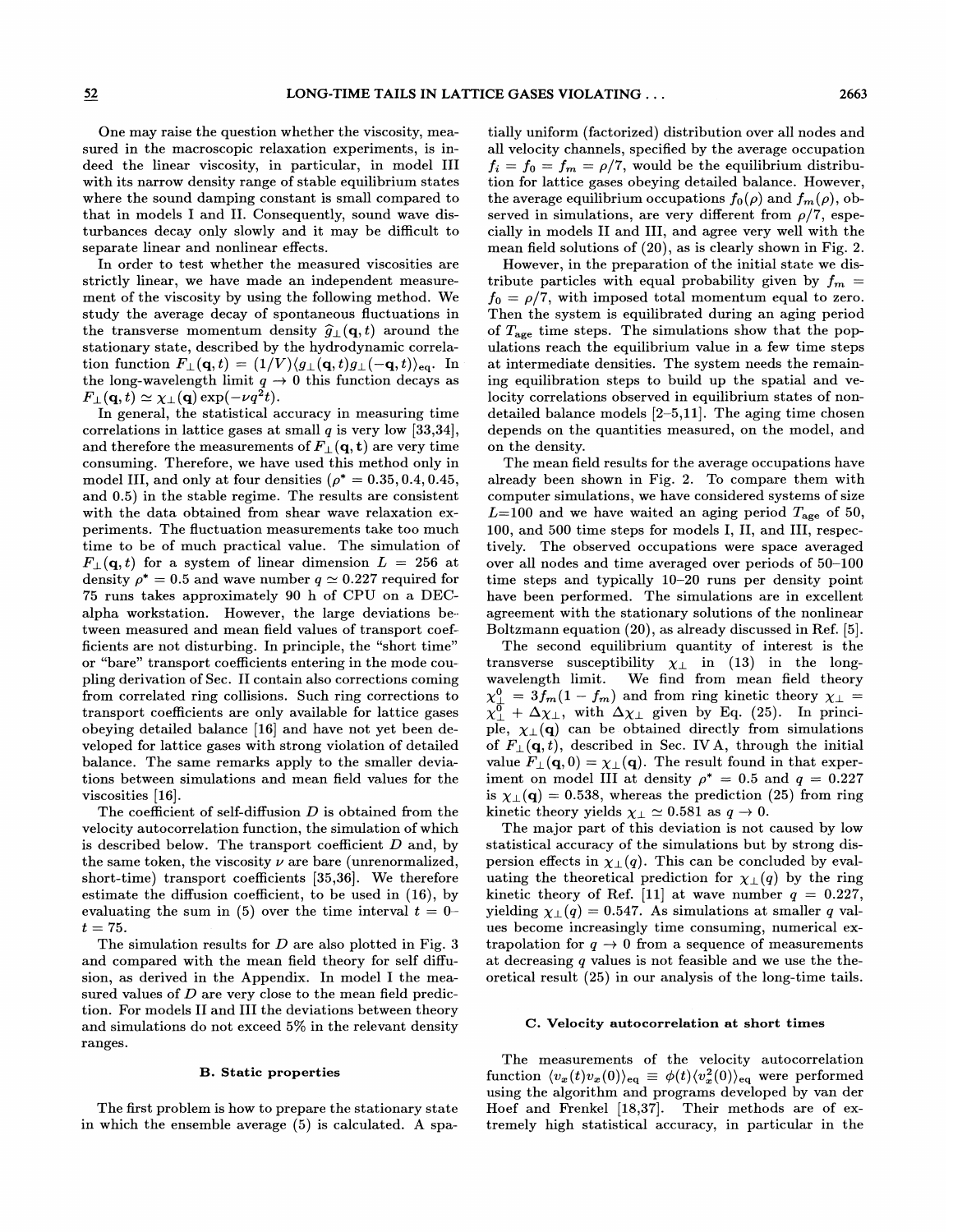One may raise the question whether the viscosity, measured in the macroscopic relaxation experiments, is indeed the linear viscosity, in particular, in model III with its narrow density range of stable equilibrium states where the sound damping constant is small compared to that in models I and II. Consequently, sound wave disturbances decay only slowly and it may be dificult to separate linear and nonlinear effects.

In order to test whether the measured viscosities are strictly linear, we have made an independent measurement of the viscosity by using the following method. We study the average decay of spontaneous Huctuations in the transverse momentum density  $\widehat{g}_{\perp}(\mathbf{q}, t)$  around the stationary state, described by the hydrodynamic correlation function  $F_{\perp}(\mathbf{q}, t) = (1/V) \langle g_{\perp}(\mathbf{q}, t) g_{\perp}(-\mathbf{q}, t) \rangle_{\text{eq}}$ . In the long-wavelength limit  $q \to 0$  this function decays as  $F_{\perp}(\mathbf{q}, t) \simeq \chi_{\perp}(\mathbf{q}) \exp(-\nu q^2 t).$ 

In general, the statistical accuracy in measuring time correlations in lattice gases at small  $q$  is very low [33,34], and therefore the measurements of  $F_{\perp}({\bf q},{\bf t})$  are very time consuming. Therefore, we have used this method only in model III, and only at four densities  $(\rho^* = 0.35, 0.4, 0.45,$ and 0.5) in the stable regime. The results are consistent with the data obtained from shear wave relaxation experiments. The Huctuation measurements take too much time to be of much practical value. The simulation of  $F_{\perp}(\mathbf{q}, t)$  for a system of linear dimension  $L = 256$  at density  $\rho^* = 0.5$  and wave number  $q \simeq 0.227$  required for 75 runs takes approximately 90 h of CPU on a DECalpha workstation. However, the large deviations be- tween measured and mean field values of transport coefficients are not disturbing. In principle, the "short time" or "bare" transport coefficients entering in the mode coupling derivation of Sec. II contain also corrections coming from correlated ring collisions. Such ring corrections to transport coefficients are only available for lattice gases obeying detailed balance [16] and have not yet been developed for lattice gases with strong violation of detailed balance. The same remarks apply to the smaller deviations between simulations and mean field values for the viscosities [16].

The coefficient of self-diffusion  $D$  is obtained from the velocity autocorrelation function, the simulation of which is described below. The transport coefficient  $D$  and, by the same token, the viscosity  $\nu$  are bare (unrenormalized, short-time) transport coefficients [35,36]. We therefore estimate the diffusion coefficient, to be used in (16), by evaluating the sum in (5) over the time interval  $t = 0$  $t=75.$ 

The simulation results for  $D$  are also plotted in Fig. 3 and compared with the mean field theory for self diffusion, as derived in the Appendix. In model I the measured values of  $D$  are very close to the mean field prediction. For models II and III the deviations between theory and simulations do not exceed 5% in the relevant density ranges.

#### B. Static properties

The first problem is how to prepare the stationary state in which the ensemble average (5) is calculated. A spatially uniform (factorized) distribution over all nodes and all velocity channels, specified by the average occupation  $f_i = f_0 = f_m = \rho/7$ , would be the equilibrium distribution for lattice gases obeying detailed balance. However, the average equilibrium occupations  $f_0(\rho)$  and  $f_m(\rho)$ , observed in simulations, are very different from  $\rho/7$ , especially in models II and III, and agree very well with the mean field solutions of (20), as is clearly shown in Fig. 2.

However, in the preparation of the initial state we distribute particles with equal probability given by  $f_m =$  $f_0 = \rho/7$ , with imposed total momentum equal to zero. Then the system is equilibrated during an aging period of  $T_{\rm age}$  time steps. The simulations show that the populations reach the equilibrium value in a few time steps at intermediate densities. The system needs the remaining equilibration steps to build up the spatial and velocity correlations observed in equilibrium states of nondetailed balance models [2—5,11]. The aging time chosen depends on the quantities measured, on the model, and on the density.

The mean field results for the average occupations have already been shown in Fig. 2. To compare them with computer simulations, we have considered systems of size  $L=100$  and we have waited an aging period  $T_{\rm age}$  of 50, 100, and 500 time steps for models I, II, and III, respectively. The observed occupations were space averaged over all nodes and time averaged over periods of 50—100 time steps and typically 10—20 runs per density point have been performed. The simulations are in excellent agreement with the stationary solutions of the nonlinear Boltzmann equation (20), as already discussed in Ref. [5].

The second equilibrium quantity of interest is the transverse susceptibility  $\chi_{\perp}$  in (13) in the long-<br>wavelength limit. We find from mean field theory We find from mean field theory  $\chi_{\mu}^{0} = 3f_m(1 - f_m)$  and from ring kinetic theory  $\chi_{\perp} =$  $\chi_{\perp}^{\vec{0}} + \Delta \chi_{\perp}$ , with  $\Delta \chi_{\perp}$  given by Eq. (25). In principle,  $\chi_{\perp}(\mathbf{q})$  can be obtained directly from simulations of  $F_{\perp}(\mathbf{q}, t)$ , described in Sec. IV A, through the initial value  $F_{\perp}(\mathbf{q},0) = \chi_{\perp}(\mathbf{q})$ . The result found in that experiment on model III at density  $\rho^* = 0.5$  and  $q = 0.227$ is  $\chi_{\perp}(\mathbf{q}) = 0.538$ , whereas the prediction (25) from ring kinetic theory yields  $\chi_{\perp} \simeq 0.581$  as  $q \to 0$ .

The major part of this deviation is not caused by low statistical accuracy of the simulations but by strong dispersion effects in  $\chi_{\perp}(q)$ . This can be concluded by evaluating the theoretical prediction for  $\chi_{\perp}(q)$  by the ring kinetic theory of Ref. [11] at wave number  $q = 0.227$ , yielding  $\chi_{\perp}(q) = 0.547$ . As simulations at smaller q values become increasingly time consuming, numerical extrapolation for  $q \rightarrow 0$  from a sequence of measurements at decreasing <sup>q</sup> values is not feasible and we use the theoretical result (25) in our analysis of the long-time tails.

#### C. Velocity autocorrelation at short times

The measurements of the velocity autocorrelation function  $\langle v_x(t)v_x(0)\rangle_{\text{eq}} \equiv \phi(t)\langle v_x^2(0)\rangle_{\text{eq}}$  were performed using the algorithm and programs developed by van der Hoef and Frenkel [18,37]. Their methods are of extremely high statistical accuracy, in particular in the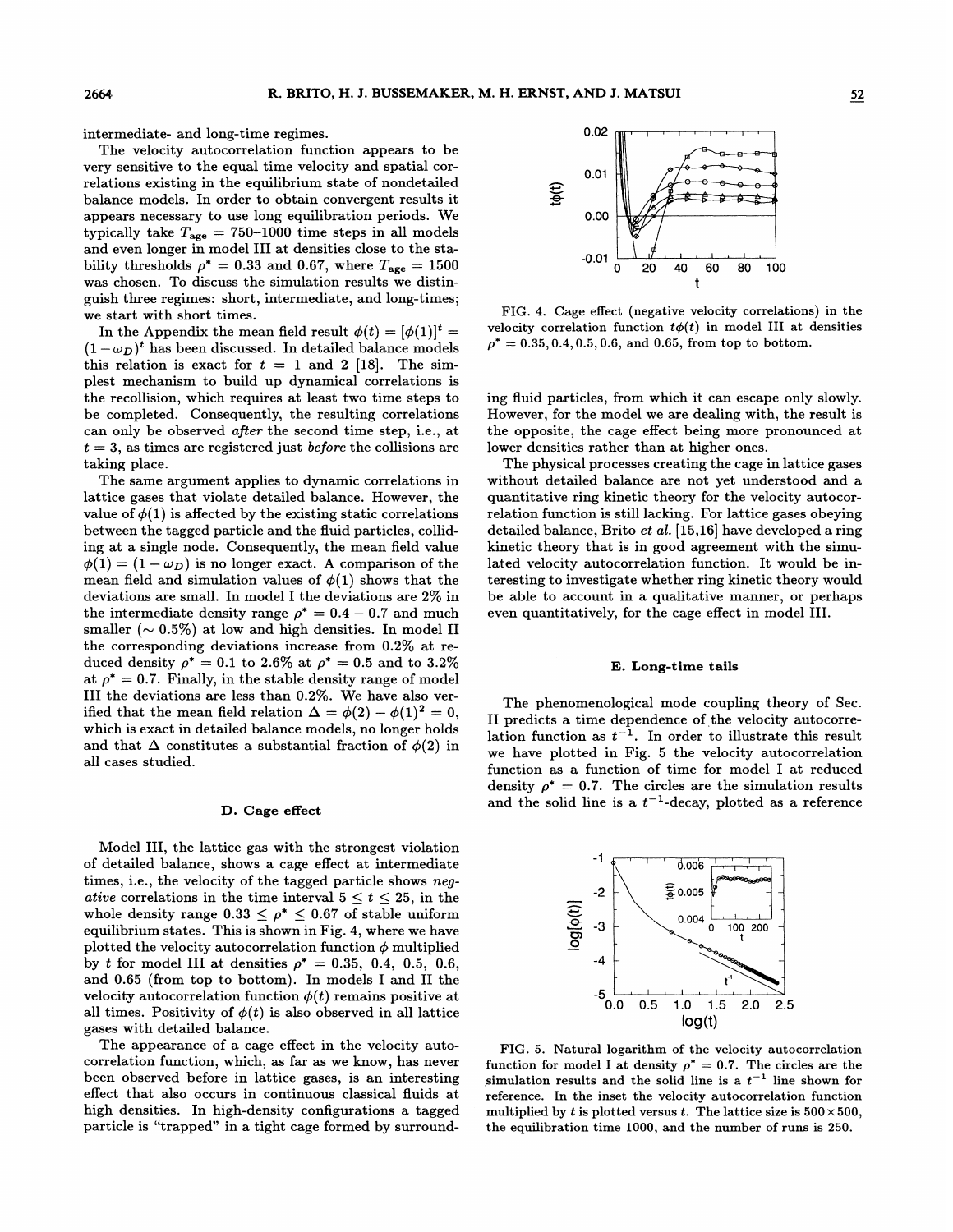intermediate- and long-time regimes.

The velocity autocorrelation function appears to be very sensitive to the equal time velocity and spatial correlations existing in the equilibrium state of nondetailed balance models. In order to obtain convergent results it appears necessary to use long equilibration periods. We typically take  $T_{\text{age}} = 750{\text -}1000$  time steps in all models and even longer in model III at densities close to the stability thresholds  $\rho^* = 0.33$  and 0.67, where  $T_{\text{age}} = 1500$ was chosen. To discuss the simulation results we distinguish three regimes: short, intermediate, and long-times; we start with short times.

In the Appendix the mean field result  $\phi(t) = [\phi(1)]^t$  =  $(1-\omega_D)^t$  has been discussed. In detailed balance models this relation is exact for  $t = 1$  and 2 [18]. The simplest mechanism to build up dynamical correlations is the recollision, which requires at least two time steps to be completed. Consequently, the resulting correlations can only be observed *after* the second time step, i.e., at  $t = 3$ , as times are registered just *before* the collisions are taking place.

The same argument applies to dynamic correlations in lattice gases that violate detailed balance. However, the value of  $\phi(1)$  is affected by the existing static correlations between the tagged particle and the fluid particles, colliding at a single node. Consequently, the mean field value  $\phi(1) = (1 - \omega_D)$  is no longer exact. A comparison of the mean field and simulation values of  $\phi(1)$  shows that the deviations are small. In model I the deviations are 2% in the intermediate density range  $\rho^* = 0.4 - 0.7$  and much smaller  $({\sim 0.5\%)$  at low and high densities. In model II the corresponding deviations increase from  $0.2\%$  at reduced density  $\rho^* = 0.1$  to 2.6% at  $\rho^* = 0.5$  and to 3.2% at  $\rho^* = 0.7$ . Finally, in the stable density range of model III the deviations are less than 0.2%. We have also verified that the mean field relation  $\Delta = \phi(2) - \phi(1)^2 = 0$ , which is exact in detailed balance models, no longer holds and that  $\Delta$  constitutes a substantial fraction of  $\phi(2)$  in all cases studied.

#### D. Cage efFect

Model III, the lattice gas with the strongest violation of detailed balance, shows a cage effect at intermediate times, i.e., the velocity of the tagged particle shows negative correlations in the time interval  $5 \le t \le 25$ , in the whole density range  $0.33 \le \rho^* \le 0.67$  of stable uniform equilibrium states. This is shown in Fig. 4, where we have plotted the velocity autocorrelation function  $\phi$  multiplied by t for model III at densities  $\rho^* = 0.35, 0.4, 0.5, 0.6,$ and 0.65 (from top to bottom). In models I and II the velocity autocorrelation function  $\phi(t)$  remains positive at all times. Positivity of  $\phi(t)$  is also observed in all lattice gases with detailed balance.

The appearance of a cage effect in the velocity autocorrelation function, which, as far as we know, has never been observed. before in lattice gases, is an interesting effect that also occurs in continuous classical fluids at high densities. In high-density configurations a tagged particle is "trapped" in a tight cage formed by surround-



FIG. 4. Cage effect (negative velocity correlations) in the velocity correlation function  $t\phi(t)$  in model III at densities  $\rho^* = 0.35, 0.4, 0.5, 0.6,$  and 0.65, from top to bottom.

ing fluid particles, from which it can escape only slowly. However, for the model we are dealing with, the result is the opposite, the cage effect being more pronounced at lower densities rather than at higher ones.

The physical processes creating the cage in lattice gases without detailed balance are not yet understood and a quantitative ring kinetic theory for the velocity autocorrelation function is still lacking. For lattice gases obeying detailed balance, Brito  $et$  al.  $[15,16]$  have developed a ring kinetic theory that is in good agreement with the simulated velocity autocorrelation function. It would be interesting to investigate whether ring kinetic theory would be able to account in a qualitative manner, or perhaps even quantitatively, for the cage effect in model III.

## E. Long-time tails

The phenomenological mode coupling theory of Sec. II predicts a time dependence of the velocity autocorrelation function as  $t^{-1}$ . In order to illustrate this result we have plotted in Fig. 5 the velocity autocorrelation function as a function of time for model I at reduced density  $\rho^* = 0.7$ . The circles are the simulation results and the solid line is a  $t^{-1}$ -decay, plotted as a reference



FIG. 5. Natural logarithm of the velocity autocorrelation function for model I at density  $\rho^* = 0.7$ . The circles are the simulation results and the solid line is a  $t^{-1}$  line shown for reference. In the inset the velocity autocorrelation function multiplied by t is plotted versus t. The lattice size is  $500 \times 500$ , the equilibration time 1000, and the number of runs is 250.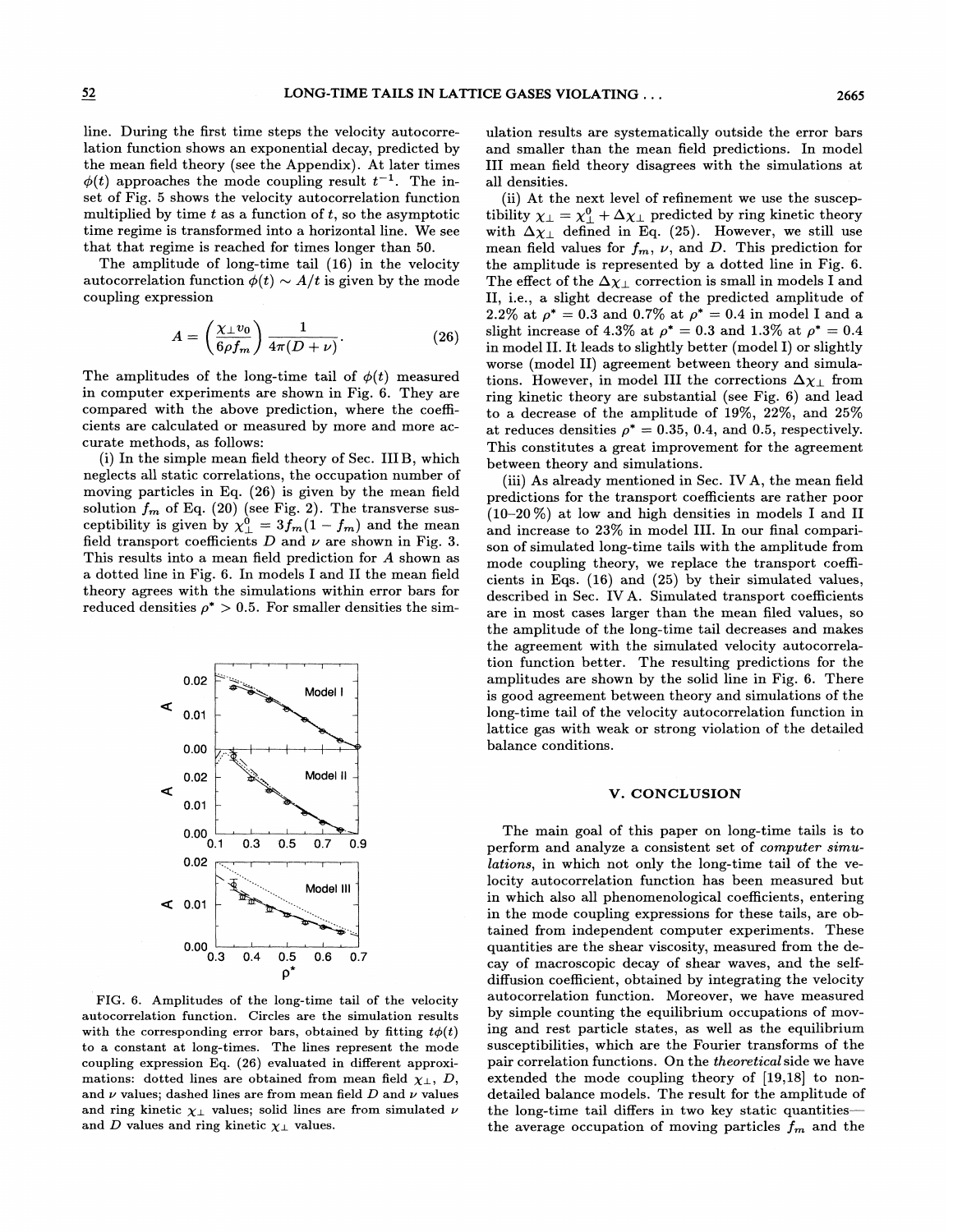line. During the first time steps the velocity autocorrelation function shows an exponential decay, predicted by the mean field theory (see the Appendix). At later times  $\phi(t)$  approaches the mode coupling result  $t^{-1}$ . The inset of Fig. 5 shows the velocity autocorrelation function multiplied by time  $t$  as a function of  $t$ , so the asymptotic time regime is transformed into a horizontal line. We see that that regime is reached for times longer than 50.

The amplitude of long-time tail (16) in the velocity autocorrelation function  $\phi(t) \sim A/t$  is given by the mode coupling expression

$$
A = \left(\frac{\chi_{\perp}v_0}{6\rho f_m}\right)\frac{1}{4\pi(D+\nu)}.\tag{26}
$$

The amplitudes of the long-time tail of  $\phi(t)$  measured in computer experiments are shown in Fig. 6. They are compared with the above prediction, where the coefficients are calculated or measured by more and more accurate methods, as follows:

(i) In the simple mean field theory of Sec. IIIB, which neglects all static correlations, the occupation number of moving particles in Eq. (26) is given by the mean field solution  $f_m$  of Eq. (20) (see Fig. 2). The transverse susceptibility is given by  $\chi^0_{\perp} = 3f_m(1 - f_m)$  and the mean field transport coefficients  $D$  and  $\nu$  are shown in Fig. 3. This results into a mean field prediction for A shown as a dotted line in Fig. 6. In models I and II the mean field theory agrees with the simulations within error bars for reduced densities  $\rho^* > 0.5$ . For smaller densities the sim-



FIG. 6. Amplitudes of the long-time tail of the velocity autocorrelation function. Circles are the simulation results with the corresponding error bars, obtained by fitting  $t\phi(t)$ to a constant at long-times. The lines represent the mode coupling expression Eq. (26) evaluated in different approximations: dotted lines are obtained from mean field  $\chi_{\perp}$ , D, and  $\nu$  values; dashed lines are from mean field  $D$  and  $\nu$  values and ring kinetic  $\chi_{\perp}$  values; solid lines are from simulated  $\nu$ and D values and ring kinetic  $\chi_{\perp}$  values.

ulation results are systematically outside the error bars and smaller than the mean field predictions. In model III mean field theory disagrees with the simulations at all densities.

(ii) At the next level of refinement we use the susceptibility  $\chi_{\perp} = \chi_{\perp}^0 + \Delta \chi_{\perp}$  predicted by ring kinetic theory with  $\Delta\chi_{\perp}$  defined in Eq. (25). However, we still use mean field values for  $f_m$ ,  $\nu$ , and D. This prediction for the amplitude is represented by a dotted line in Fig. 6. The effect of the  $\Delta \chi_{\perp}$  correction is small in models I and II, i.e., a slight decrease of the predicted amplitude of 2.2% at  $\rho^* = 0.3$  and 0.7% at  $\rho^* = 0.4$  in model I and a slight increase of 4.3% at  $\rho^* = 0.3$  and 1.3% at  $\rho^* = 0.4$ in model II. It leads to slightly better (model I) or slightly worse (model II) agreement between theory and simulations. However, in model III the corrections  $\Delta \chi_{\perp}$  from ring kinetic theory are substantial (see Fig. 6) and lead to a decrease of the amplitude of 19%, 22%, and 25% at reduces densities  $\rho^* = 0.35, 0.4,$  and 0.5, respectively. This constitutes a great improvement for the agreement between theory and simulations.

(iii) As already mentioned in Sec. IV A, the mean field predictions for the transport coefficients are rather poor (10—20%) at low and high densities in models I and II and increase to  $23\%$  in model III. In our final comparison of simulated long-time tails with the amplitude from mode coupling theory, we replace the transport coefficients in Eqs. (16) and (25) by their simulated values, described in Sec. IVA. Simulated transport coefficients are in most cases larger than the mean filed values, so the amplitude of the long-time tail decreases and makes the agreement with the simulated velocity autocorrelation function better. The resulting predictions for the amplitudes are shown by the solid line in Fig. 6. There is good agreement between theory and simulations of the long-time tail of the velocity autocorrelation function in lattice gas with weak or strong violation of the detailed balance conditions.

## V. CONCLUSION

The main goal of this paper on long-time tails is to perform and analyze a consistent set of computer simulations, in which not only the long-time tail of the velocity autocorrelation function has been measured but in which also all phenomenological coefficients, entering in the mode coupling expressions for these tails, are obtained from independent computer experiments. These quantities are the shear viscosity, measured from the decay of macroscopic decay of shear waves, and the selfdiffusion coefficient, obtained by integrating the velocity autocorrelation function. Moreover, we have measured by simple counting the equilibrium occupations of moving and rest particle states, as well as the equilibrium susceptibilities, which are the Fourier transforms of the pair correlation functions. On the theoretical side we have extended the mode coupling theory of [19,18] to nondetailed balance models. The result for the amplitude of the long-time tail differs in two key static quantitiesthe average occupation of moving particles  $f_m$  and the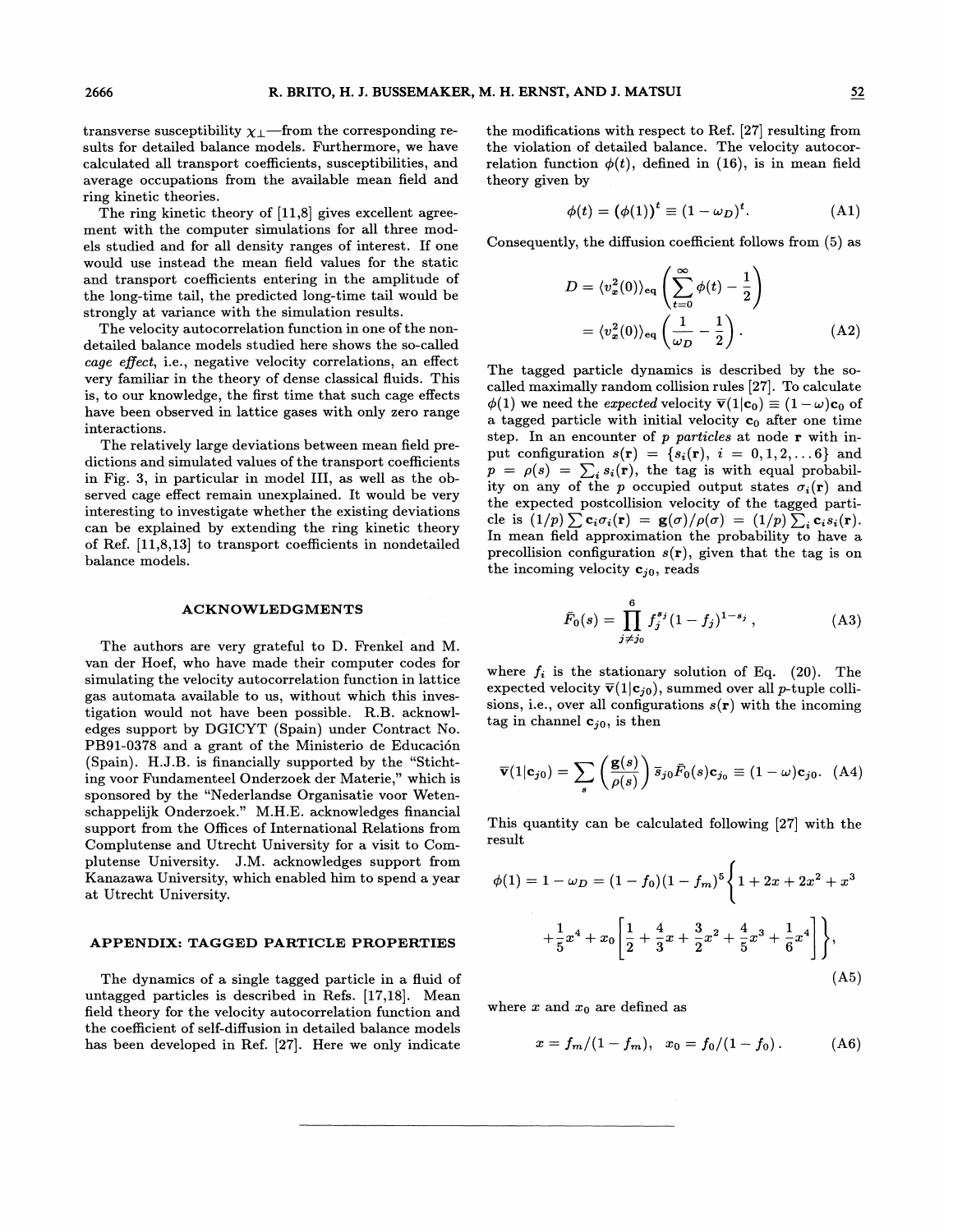transverse susceptibility  $\chi_{\perp}$ —from the corresponding results for detailed balance models. Furthermore, we have calculated all transport coefficients, susceptibilities, and average occupations from the available mean field and ring kinetic theories.

The ring kinetic theory of [11,8] gives excellent agreement with the computer simulations for all three models studied and for all density ranges of interest. If one would use instead the mean field values for the static and transport coefficients entering in the amplitude of the long-time tail, the predicted long-time tail would be strongly at variance with the simulation results.

The velocity autocorrelation function in one of the nondetailed balance models studied here shows the so-called cage effect, i.e., negative velocity correlations, an effect very familiar in the theory of dense classical fluids. This is, to our knowledge, the first time that such cage effects have been observed in lattice gases with only zero range interactions.

The relatively large deviations between mean field predictions and simulated values of the transport coefficients in Fig. 3, in particular in model III, as well as the observed cage effect remain unexplained. It would be very interesting to investigate whether the existing deviations can be explained by extending the ring kinetic theory of Ref.  $[11,8,13]$  to transport coefficients in nondetailed balance models.

### **ACKNOWLEDGMENTS**

The authors are very grateful to D. Frenkel and M. van der Hoef, who have made their computer codes for simulating the velocity autocorrelation function in lattice gas automata available to us, without which this investigation would not have been possible. R.B. acknowledges support by DGICYT (Spain) under Contract No. PB91-0378 and a grant of the Ministerio de Educacion (Spain). H.J.B. is financially supported by the "Stichting voor Fundamenteel Onderzoek der Materie," which is sponsored by the "Nederlandse Organisatie voor Wetenschappelijk Onderzoek." M.H.E. acknowledges financial support from the Offices of International Relations from Complutense and Utrecht University for a visit to Complutense University. J.M. acknowledges support from Kanazawa University, which enabled him to spend a year at Utrecht University.

## APPENDIX: TAGGED PARTICLE PROPERTIES <sup>4</sup>

The dynamics of a single tagged particle in a fluid of untagged particles is described in Refs. [17,18]. Mean field theory for the velocity autocorrelation function and the coefficient of self-diffusion in detailed balance models has been developed in Ref. [27]. Here we only indicate

the modifications with respect to Ref. [27] resulting from the violation of detailed balance. The velocity autocorrelation function  $\phi(t)$ , defined in (16), is in mean field theory given by

$$
\phi(t) = (\phi(1))^t \equiv (1 - \omega_D)^t. \tag{A1}
$$

Consequently, the diffusion coefficient follows from  $(5)$  as

$$
D = \langle v_x^2(0) \rangle_{\text{eq}} \left( \sum_{t=0}^{\infty} \phi(t) - \frac{1}{2} \right)
$$
  
=  $\langle v_x^2(0) \rangle_{\text{eq}} \left( \frac{1}{\omega_D} - \frac{1}{2} \right).$  (A2)

The tagged particle dynamics is described by the socalled maximally random collision rules [27]. To calculate  $\phi(1)$  we need the expected velocity  $\overline{\mathbf{v}}(1|\mathbf{c}_0) \equiv (1-\omega)\mathbf{c}_0$  of a tagged particle with initial velocity  $c_0$  after one time step. In an encounter of p particles at node r with input configuration  $s(r) = \{s_i(r), i = 0, 1, 2, ...\}$  and  $p = \rho(s) = \sum_i s_i(\mathbf{r})$ , the tag is with equal probability on any of the p occupied output states  $\sigma_i(\mathbf{r})$  and the expected postcollision velocity of the tagged particle is  $(1/p) \sum c_i \sigma_i(\mathbf{r}) = \mathbf{g}(\sigma) / \rho(\sigma) = (1/p) \sum_i c_i s_i(\mathbf{r}).$ In mean field approximation the probability to have a precollision configuration  $s(r)$ , given that the tag is on the incoming velocity  $c_{i0}$ , reads

$$
\bar{F}_0(s) = \prod_{j \neq j_0}^{6} f_j^{s_j} (1 - f_j)^{1 - s_j}, \qquad (A3)
$$

where  $f_i$  is the stationary solution of Eq. (20). The expected velocity  $\bar{v}(1|c_{i0})$ , summed over all p-tuple collisions, i.e., over all configurations  $s(r)$  with the incoming tag in channel  $c_{i0}$ , is then

$$
\overline{\mathbf{v}}(1|\mathbf{c}_{j0}) = \sum_{s} \left(\frac{\mathbf{g}(s)}{\rho(s)}\right) \overline{s}_{j0} \overline{F}_0(s) \mathbf{c}_{j_0} \equiv (1-\omega) \mathbf{c}_{j0}. \quad (A4)
$$

This quantity can be calculated following [27] with the result

$$
\phi(1) = 1 - \omega_D = (1 - f_0)(1 - f_m)^5 \left\{ 1 + 2x + 2x^2 + x^3 + \frac{1}{5}x^4 + x_0 \left[ \frac{1}{2} + \frac{4}{3}x + \frac{3}{2}x^2 + \frac{4}{5}x^3 + \frac{1}{6}x^4 \right] \right\},\tag{A5}
$$

where x and  $x_0$  are defined as

$$
x = f_m/(1 - f_m), \quad x_0 = f_0/(1 - f_0).
$$
 (A6)